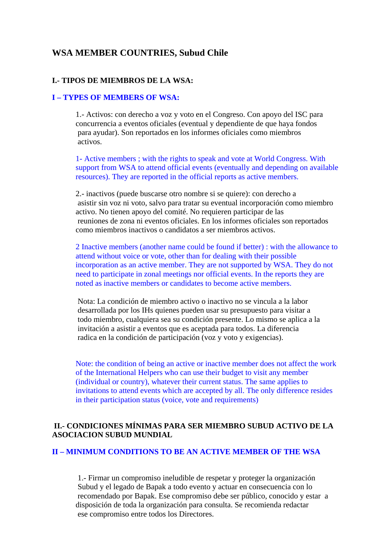# **WSA MEMBER COUNTRIES, Subud Chile**

#### **I.- TIPOS DE MIEMBROS DE LA WSA:**

#### **I – TYPES OF MEMBERS OF WSA:**

1.- Activos: con derecho a voz y voto en el Congreso. Con apoyo del ISC para concurrencia a eventos oficiales (eventual y dependiente de que haya fondos para ayudar). Son reportados en los informes oficiales como miembros activos.

1- Active members ; with the rights to speak and vote at World Congress. With support from WSA to attend official events (eventually and depending on available resources). They are reported in the official reports as active members.

2.- inactivos (puede buscarse otro nombre si se quiere): con derecho a asistir sin voz ni voto, salvo para tratar su eventual incorporación como miembro activo. No tienen apoyo del comité. No requieren participar de las reuniones de zona ni eventos oficiales. En los informes oficiales son reportados como miembros inactivos o candidatos a ser miembros activos.

2 Inactive members (another name could be found if better) : with the allowance to attend without voice or vote, other than for dealing with their possible incorporation as an active member. They are not supported by WSA. They do not need to participate in zonal meetings nor official events. In the reports they are noted as inactive members or candidates to become active members.

 Nota: La condición de miembro activo o inactivo no se vincula a la labor desarrollada por los IHs quienes pueden usar su presupuesto para visitar a todo miembro, cualquiera sea su condición presente. Lo mismo se aplica a la invitación a asistir a eventos que es aceptada para todos. La diferencia radica en la condición de participación (voz y voto y exigencias).

Note: the condition of being an active or inactive member does not affect the work of the International Helpers who can use their budget to visit any member (individual or country), whatever their current status. The same applies to invitations to attend events which are accepted by all. The only difference resides in their participation status (voice, vote and requirements)

## **II.- CONDICIONES MÍNIMAS PARA SER MIEMBRO SUBUD ACTIVO DE LA ASOCIACION SUBUD MUNDIAL**

## **II – MINIMUM CONDITIONS TO BE AN ACTIVE MEMBER OF THE WSA**

 1.- Firmar un compromiso ineludible de respetar y proteger la organización Subud y el legado de Bapak a todo evento y actuar en consecuencia con lo recomendado por Bapak. Ese compromiso debe ser público, conocido y estar a disposición de toda la organización para consulta. Se recomienda redactar ese compromiso entre todos los Directores.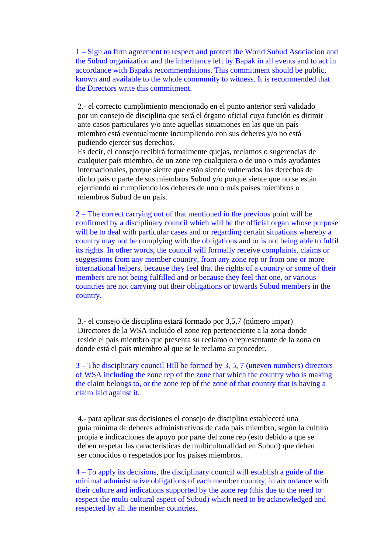1 – Sign an firm agreement to respect and protect the World Subud Asociacion and the Subud organization and the inheritance left by Bapak in all events and to act in accordance with Bapaks recommendations. This commitment should be public, known and available to the whole community to witness. It is recommended that the Directors write this commitment.

 2.- el correcto cumplimiento mencionado en el punto anterior será validado por un consejo de disciplina que será el órgano oficial cuya función es dirimir ante casos particulares y/o ante aquellas situaciones en las que un país miembro está eventualmente incumpliendo con sus deberes y/o no está pudiendo ejercer sus derechos.

 Es decir, el consejo recibirá formalmente quejas, reclamos o sugerencias de cualquier país miembro, de un zone rep cualquiera o de uno o más ayudantes internacionales, porque siente que están siendo vulnerados los derechos de dicho país o parte de sus miembros Subud y/o porque siente que no se están ejerciendo ni cumpliendo los deberes de uno o más países miembros o miembros Subud de un país.

2 – The correct carrying out of that mentioned in the previous point will be confirmed by a disciplinary council which will be the official organ whose purpose will be to deal with particular cases and or regarding certain situations whereby a country may not be complying with the obligations and or is not being able to fulfil its rights. In other words, the council will formally receive complaints, claims or suggestions from any member country, from any zone rep or from one or more international helpers, because they feel that the rights of a country or some of their members are not being fulfilled and or because they feel that one, or various countries are not carrying out their obligations or towards Subud members in the country.

 3.- el consejo de disciplina estará formado por 3,5,7 (número impar) Directores de la WSA incluido el zone rep perteneciente a la zona donde reside el país miembro que presenta su reclamo o representante de la zona en donde está el país miembro al que se le reclama su proceder.

3 – The disciplinary council Hill be formed by 3, 5, 7 (uneven numbers) directors of WSA including the zone rep of the zone that which the country who is making the claim belongs to, or the zone rep of the zone of that country that is having a claim laid against it.

 4.- para aplicar sus decisiones el consejo de disciplina establecerá una guía mínima de deberes administrativos de cada país miembro, según la cultura propia e indicaciones de apoyo por parte del zone rep (esto debido a que se deben respetar las características de multiculturalidad en Subud) que deben ser conocidos o respetados por los países miembros.

4 – To apply its decisions, the disciplinary council will establish a guide of the minimal administrative obligations of each member country, in accordance with their culture and indications supported by the zone rep (this due to the need to respect the multi cultural aspect of Subud) which need to be acknowledged and respected by all the member countries.